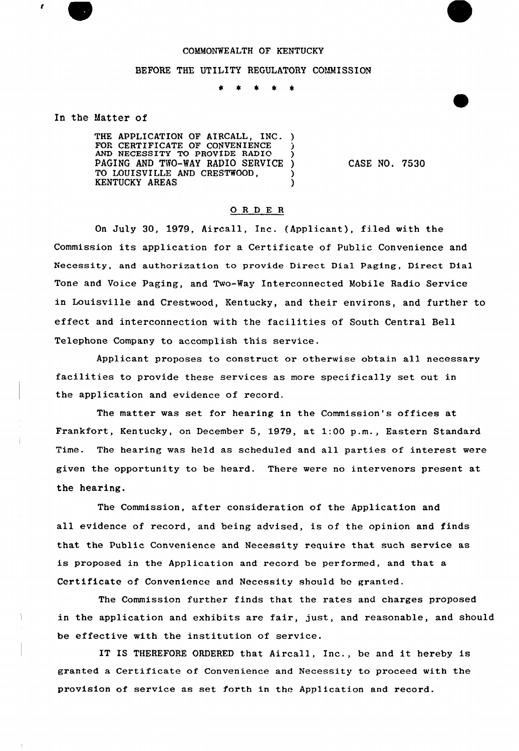

## BEFORE THE UTILITY REGULATORY COMMISSION

## In the Matter of

THE APPLICATION OF AIRCALL, INC. ) FOR CERTIFICATE OF CONVENIENCE AND NECESSITY TO PROVIDE RADIO PAGING AND TWO-WAY RADIO SERVICE )<br>TO LOUISVILLE AND CRESTWOOD. TO LOUISVILLE AND CRESTWOOD,  $\overrightarrow{y}$ KENTUCKY AREAS

CASE NO. 7530

# ORDER

On July 30, 1979, Aircall, Inc. (Applicant), filed with the Commission its application for <sup>a</sup> Certificate of Public Convenience and Necessity, and authorization to provide Direct Dial Paging, Direct Dial Tone and Voice Paging, and Two-Way Interconnected Mobile Radio Service in Louisville and Crestwood, Kentucky, and their environs, and further to effect and interconnection with the facilities of South Central Bell Telephone Company to accomplish this service.

Applicant proposes to construct or otherwise obtain all necessary facilities to provide these services as more specifically set out in the application and evidence of record.

The matter was set for hearing in the Commission's offices at Frankfort, Kentucky, on December 5, 1979, at 1:00 p.m., Eastern Standard Time. The hearing was held as scheduled and all parties of interest were given the opportunity to be heard. There were no intervenors present at the hearing.

The Commission, after consideration of the Application and all evidence of record, and being advised, is of the opinion and finds that the Public Convenience and Necessity require that such service as is proposed in the Application and record be performed, and that a Certificate of Convenience and Necessity should be granted.

The Commission fuxther finds that the rates and charges proposed in the application and exhibits are fair, just, and reasonable, and should be effective with the institution of service.

IT IS THEREFORE ORDERED that Aircall, Inc., be and it hereby is granted a Certificate of Convenience and Necessity to proceed with the provision of service as set forth in the Application and record.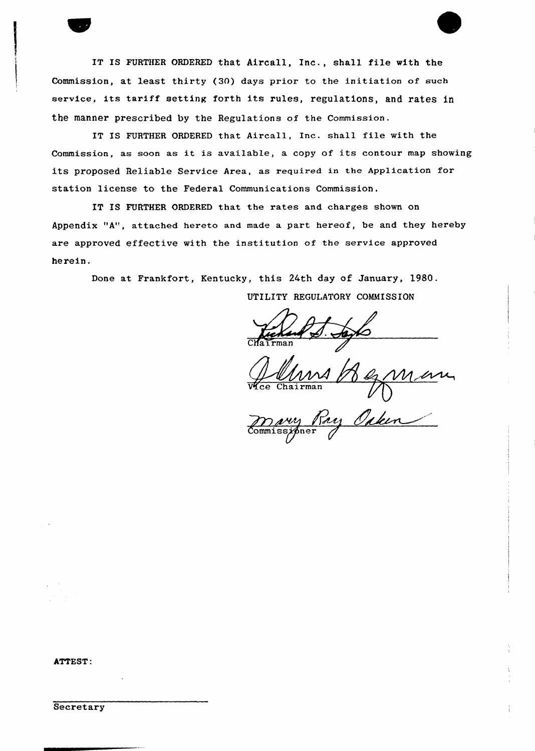IT IS FURTHER ORDERED that Aircall, Inc., shall file with the Commission, at least thirty (30) days prior to the initiation of such service, its tariff setting forth its rules, regulations, and rates in the manner prescribed by the Regulations of the Commission.

IT IS FURTHER ORDERED that Aircall, Inc. shall file with the Commission, as soon as it is available, <sup>a</sup> copy of its contour map showing its proposed Reliable Service Area, as required in the Application for station license to the Federal Communications Commission.

IT IS FURTHER ORDERED that the rates and charges shown on Appendix "A", attached hereto and made a part hereof, be and they hereby are approved effective with the institution of the service approved herein.

Done at Frankfort, Kentucky, this 24th day of January, 1980.

UTILITY REGULATORY COMMISSION

Vice Chairma

may<br>Commissioner

#### ATTEST:

**Secretary**